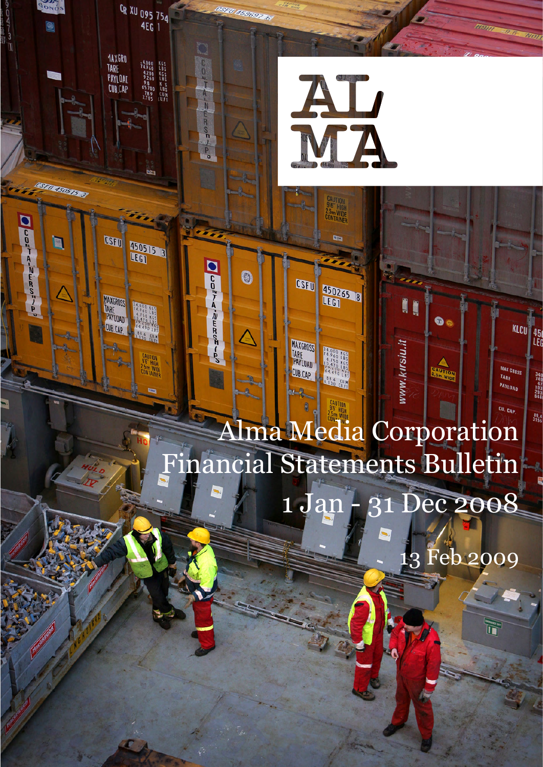

om WiDE<br><sup>ONTAINES</sup>

E<sub>2</sub>

450265 8

**34.000 KGS**<br>14.750 KGS<br>10.4750 KGS<br>64.470 LBS<br>88.6

3 30 CU.M

vww.kirsiu.it

 $\bullet$ 

**CAUTON** 

KLCU 45

340<br>749<br>103<br>646<br>646

 $rac{89.4}{3155}$ 

MAX GROSS

PAYLOAD

CU. CAP

TARE

**CSFU** 

MAXGROSS<br>TARE<br>PAYLOAD

CUB.CAP.

**RONOS** 

0

**ASEU 15051513** 

 $\blacksquare$ 

Oper-ducor-al

CR XU 095 754

14.000 KGS<br>14.960 LBS<br>4.200 KGS<br>9.260 LBS<br>9.8 KGS<br>78.9 CUM<br>78.9 CUM<br>2.785 CUFT

bz:

450515 3

**1886 CUM** 

**bm WiDE**<br>DNTAINER

 $A$ <br> $N$ 

 $0 - 30 - 30$ 

**DUDATAWALISWATE** 

0

**1AXGRO<br>TARE<br>PAYLOAL<br>CUB,CAP** 

MAXGROSS<br>TARE<br>PAYLOAD

CUB.CAP

U 45969776

# Alma Media Corporation Financial Statements Bulletin 1 Jan - 31 Dec 2008

13 Feb 2009

**H**omp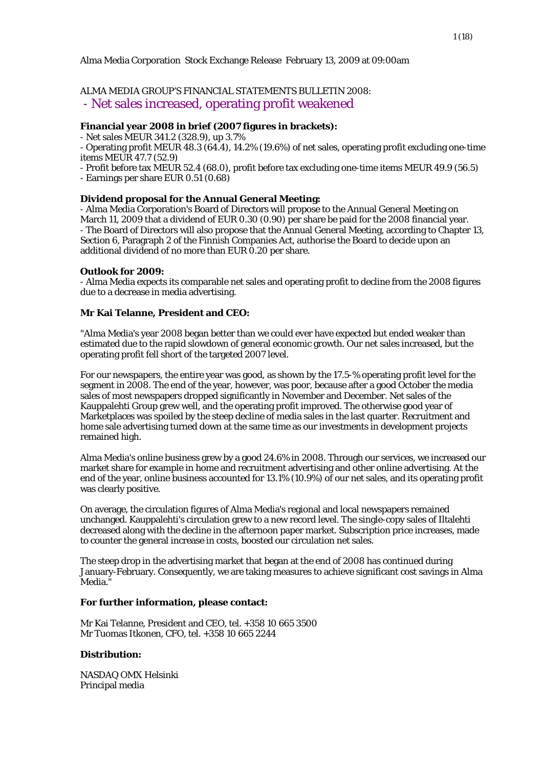# Alma Media Corporation Stock Exchange Release February 13, 2009 at 09:00am

# ALMA MEDIA GROUP'S FINANCIAL STATEMENTS BULLETIN 2008:

- Net sales increased, operating profit weakened

# **Financial year 2008 in brief (2007 figures in brackets):**

- Net sales MEUR 341.2 (328.9), up 3.7%

- Operating profit MEUR 48.3 (64.4), 14.2% (19.6%) of net sales, operating profit excluding one-time items MEUR 47.7 (52.9)

- Profit before tax MEUR 52.4 (68.0), profit before tax excluding one-time items MEUR 49.9 (56.5) - Earnings per share EUR 0.51 (0.68)

# **Dividend proposal for the Annual General Meeting:**

- Alma Media Corporation's Board of Directors will propose to the Annual General Meeting on March 11, 2009 that a dividend of EUR 0.30 (0.90) per share be paid for the 2008 financial year. - The Board of Directors will also propose that the Annual General Meeting, according to Chapter 13, Section 6, Paragraph 2 of the Finnish Companies Act, authorise the Board to decide upon an additional dividend of no more than EUR 0.20 per share.

#### **Outlook for 2009:**

- Alma Media expects its comparable net sales and operating profit to decline from the 2008 figures due to a decrease in media advertising.

#### **Mr Kai Telanne, President and CEO:**

"Alma Media's year 2008 began better than we could ever have expected but ended weaker than estimated due to the rapid slowdown of general economic growth. Our net sales increased, but the operating profit fell short of the targeted 2007 level.

For our newspapers, the entire year was good, as shown by the 17.5-% operating profit level for the segment in 2008. The end of the year, however, was poor, because after a good October the media sales of most newspapers dropped significantly in November and December. Net sales of the Kauppalehti Group grew well, and the operating profit improved. The otherwise good year of Marketplaces was spoiled by the steep decline of media sales in the last quarter. Recruitment and home sale advertising turned down at the same time as our investments in development projects remained high.

Alma Media's online business grew by a good 24.6% in 2008. Through our services, we increased our market share for example in home and recruitment advertising and other online advertising. At the end of the year, online business accounted for 13.1% (10.9%) of our net sales, and its operating profit was clearly positive.

On average, the circulation figures of Alma Media's regional and local newspapers remained unchanged. Kauppalehti's circulation grew to a new record level. The single-copy sales of Iltalehti decreased along with the decline in the afternoon paper market. Subscription price increases, made to counter the general increase in costs, boosted our circulation net sales.

The steep drop in the advertising market that began at the end of 2008 has continued during January-February. Consequently, we are taking measures to achieve significant cost savings in Alma Media.

#### **For further information, please contact:**

Mr Kai Telanne, President and CEO, tel. +358 10 665 3500 Mr Tuomas Itkonen, CFO, tel. +358 10 665 2244

#### **Distribution:**

NASDAQ OMX Helsinki Principal media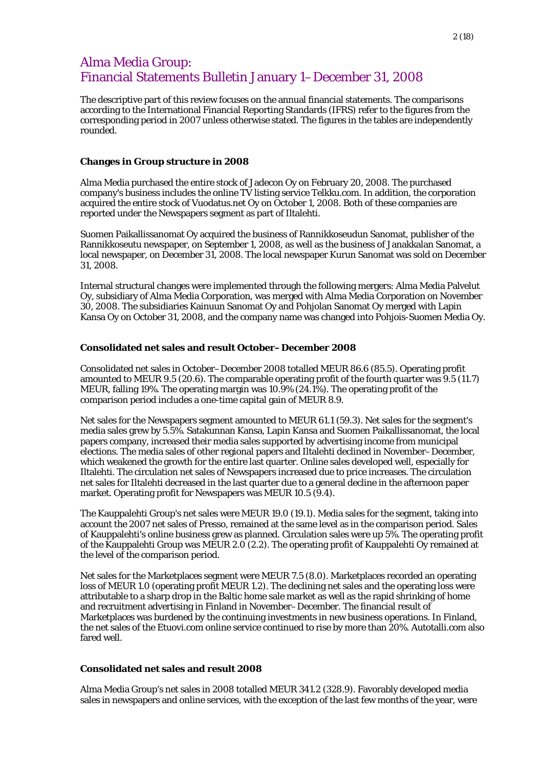# Alma Media Group: Financial Statements Bulletin January 1–December 31, 2008

The descriptive part of this review focuses on the annual financial statements. The comparisons according to the International Financial Reporting Standards (IFRS) refer to the figures from the corresponding period in 2007 unless otherwise stated. The figures in the tables are independently rounded.

#### **Changes in Group structure in 2008**

Alma Media purchased the entire stock of Jadecon Oy on February 20, 2008. The purchased company's business includes the online TV listing service Telkku.com. In addition, the corporation acquired the entire stock of Vuodatus.net Oy on October 1, 2008. Both of these companies are reported under the Newspapers segment as part of Iltalehti.

Suomen Paikallissanomat Oy acquired the business of Rannikkoseudun Sanomat, publisher of the Rannikkoseutu newspaper, on September 1, 2008, as well as the business of Janakkalan Sanomat, a local newspaper, on December 31, 2008. The local newspaper Kurun Sanomat was sold on December 31, 2008.

Internal structural changes were implemented through the following mergers: Alma Media Palvelut Oy, subsidiary of Alma Media Corporation, was merged with Alma Media Corporation on November 30, 2008. The subsidiaries Kainuun Sanomat Oy and Pohjolan Sanomat Oy merged with Lapin Kansa Oy on October 31, 2008, and the company name was changed into Pohjois-Suomen Media Oy.

#### **Consolidated net sales and result October–December 2008**

Consolidated net sales in October–December 2008 totalled MEUR 86.6 (85.5). Operating profit amounted to MEUR 9.5 (20.6). The comparable operating profit of the fourth quarter was 9.5 (11.7) MEUR, falling 19%. The operating margin was 10.9% (24.1%). The operating profit of the comparison period includes a one-time capital gain of MEUR 8.9.

Net sales for the Newspapers segment amounted to MEUR 61.1 (59.3). Net sales for the segment's media sales grew by 5.5%. Satakunnan Kansa, Lapin Kansa and Suomen Paikallissanomat, the local papers company, increased their media sales supported by advertising income from municipal elections. The media sales of other regional papers and Iltalehti declined in November–December, which weakened the growth for the entire last quarter. Online sales developed well, especially for Iltalehti. The circulation net sales of Newspapers increased due to price increases. The circulation net sales for Iltalehti decreased in the last quarter due to a general decline in the afternoon paper market. Operating profit for Newspapers was MEUR 10.5 (9.4).

The Kauppalehti Group's net sales were MEUR 19.0 (19.1). Media sales for the segment, taking into account the 2007 net sales of Presso, remained at the same level as in the comparison period. Sales of Kauppalehti's online business grew as planned. Circulation sales were up 5%. The operating profit of the Kauppalehti Group was MEUR 2.0 (2.2). The operating profit of Kauppalehti Oy remained at the level of the comparison period.

Net sales for the Marketplaces segment were MEUR 7.5 (8.0). Marketplaces recorded an operating loss of MEUR 1.0 (operating profit MEUR 1.2). The declining net sales and the operating loss were attributable to a sharp drop in the Baltic home sale market as well as the rapid shrinking of home and recruitment advertising in Finland in November–December. The financial result of Marketplaces was burdened by the continuing investments in new business operations. In Finland, the net sales of the Etuovi.com online service continued to rise by more than 20%. Autotalli.com also fared well.

# **Consolidated net sales and result 2008**

Alma Media Group's net sales in 2008 totalled MEUR 341.2 (328.9). Favorably developed media sales in newspapers and online services, with the exception of the last few months of the year, were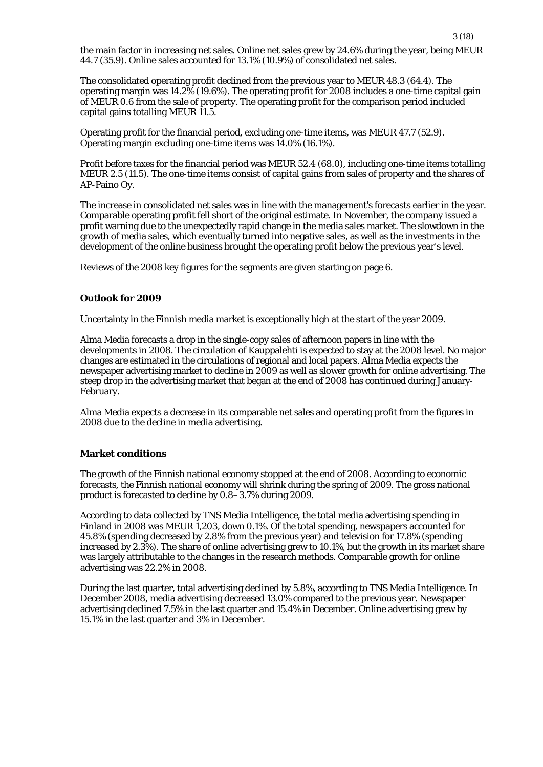the main factor in increasing net sales. Online net sales grew by 24.6% during the year, being MEUR 44.7 (35.9). Online sales accounted for 13.1% (10.9%) of consolidated net sales.

The consolidated operating profit declined from the previous year to MEUR 48.3 (64.4). The operating margin was 14.2% (19.6%). The operating profit for 2008 includes a one-time capital gain of MEUR 0.6 from the sale of property. The operating profit for the comparison period included capital gains totalling MEUR 11.5.

Operating profit for the financial period, excluding one-time items, was MEUR 47.7 (52.9). Operating margin excluding one-time items was 14.0% (16.1%).

Profit before taxes for the financial period was MEUR 52.4 (68.0), including one-time items totalling MEUR 2.5 (11.5). The one-time items consist of capital gains from sales of property and the shares of AP-Paino Oy.

The increase in consolidated net sales was in line with the management's forecasts earlier in the year. Comparable operating profit fell short of the original estimate. In November, the company issued a profit warning due to the unexpectedly rapid change in the media sales market. The slowdown in the growth of media sales, which eventually turned into negative sales, as well as the investments in the development of the online business brought the operating profit below the previous year's level.

Reviews of the 2008 key figures for the segments are given starting on page 6.

# **Outlook for 2009**

Uncertainty in the Finnish media market is exceptionally high at the start of the year 2009.

Alma Media forecasts a drop in the single-copy sales of afternoon papers in line with the developments in 2008. The circulation of Kauppalehti is expected to stay at the 2008 level. No major changes are estimated in the circulations of regional and local papers. Alma Media expects the newspaper advertising market to decline in 2009 as well as slower growth for online advertising. The steep drop in the advertising market that began at the end of 2008 has continued during January-February.

Alma Media expects a decrease in its comparable net sales and operating profit from the figures in 2008 due to the decline in media advertising.

# **Market conditions**

The growth of the Finnish national economy stopped at the end of 2008. According to economic forecasts, the Finnish national economy will shrink during the spring of 2009. The gross national product is forecasted to decline by 0.8–3.7% during 2009.

According to data collected by TNS Media Intelligence, the total media advertising spending in Finland in 2008 was MEUR 1,203, down 0.1%. Of the total spending, newspapers accounted for 45.8% (spending decreased by 2.8% from the previous year) and television for 17.8% (spending increased by 2.3%). The share of online advertising grew to 10.1%, but the growth in its market share was largely attributable to the changes in the research methods. Comparable growth for online advertising was 22.2% in 2008.

During the last quarter, total advertising declined by 5.8%, according to TNS Media Intelligence. In December 2008, media advertising decreased 13.0% compared to the previous year. Newspaper advertising declined 7.5% in the last quarter and 15.4% in December. Online advertising grew by 15.1% in the last quarter and 3% in December.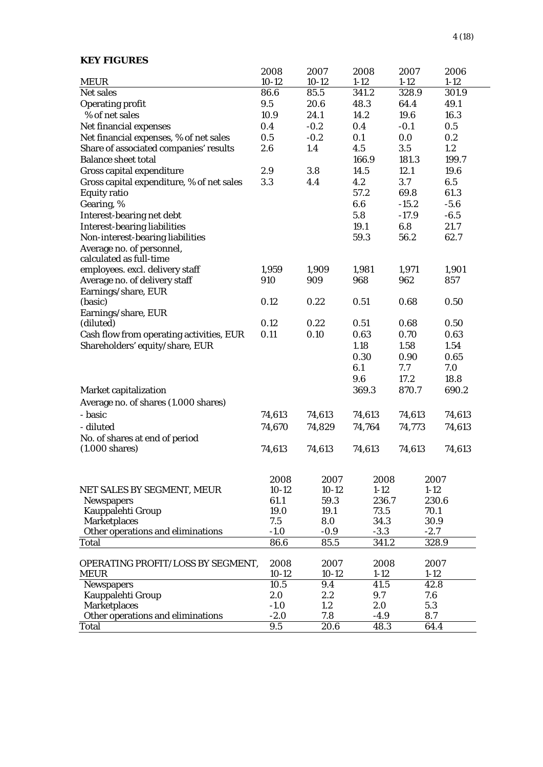| <b>KEY FIGURES</b>                                         |         |         |          |          |          |
|------------------------------------------------------------|---------|---------|----------|----------|----------|
|                                                            | 2008    | 2007    | 2008     | 2007     | 2006     |
| <b>MEUR</b>                                                | $10-12$ | $10-12$ | $1-12$   | $1 - 12$ | $1 - 12$ |
| Net sales                                                  | 86.6    | 85.5    | 341.2    | 328.9    | 301.9    |
| <b>Operating profit</b>                                    | 9.5     | 20.6    | 48.3     | 64.4     | 49.1     |
| % of net sales                                             | 10.9    | 24.1    | 14.2     | 19.6     | 16.3     |
| Net financial expenses                                     | 0.4     | $-0.2$  | 0.4      | $-0.1$   | 0.5      |
| Net financial expenses, % of net sales                     | 0.5     | $-0.2$  | 0.1      | 0.0      | 0.2      |
| Share of associated companies' results                     | 2.6     | 1.4     | 4.5      | 3.5      | 1.2      |
| <b>Balance sheet total</b>                                 |         |         | 166.9    | 181.3    | 199.7    |
| Gross capital expenditure                                  | 2.9     | 3.8     | 14.5     | 12.1     | 19.6     |
| Gross capital expenditure, % of net sales                  | 3.3     | 4.4     | 4.2      | 3.7      | 6.5      |
| <b>Equity ratio</b>                                        |         |         | 57.2     | 69.8     | 61.3     |
| Gearing, %                                                 |         |         | 6.6      | $-15.2$  | $-5.6$   |
| Interest-bearing net debt                                  |         |         | 5.8      | $-17.9$  | $-6.5$   |
| <b>Interest-bearing liabilities</b>                        |         |         | 19.1     | 6.8      | 21.7     |
| Non-interest-bearing liabilities                           |         |         | 59.3     | 56.2     | 62.7     |
| Average no. of personnel,                                  |         |         |          |          |          |
| calculated as full-time                                    |         |         |          |          |          |
| employees. excl. delivery staff                            | 1,959   | 1,909   | 1,981    | 1,971    | 1,901    |
| Average no. of delivery staff                              | 910     | 909     | 968      | 962      | 857      |
| Earnings/share, EUR                                        |         |         |          |          |          |
| (basic)                                                    | 0.12    | 0.22    | 0.51     | 0.68     | 0.50     |
| Earnings/share, EUR                                        |         |         |          |          |          |
| (diluted)                                                  | 0.12    | 0.22    | 0.51     | 0.68     | 0.50     |
| Cash flow from operating activities, EUR                   | 0.11    | 0.10    | 0.63     | 0.70     | 0.63     |
| Shareholders' equity/share, EUR                            |         |         | 1.18     | 1.58     | 1.54     |
|                                                            |         |         | 0.30     | 0.90     | 0.65     |
|                                                            |         |         | 6.1      | 7.7      | 7.0      |
|                                                            |         |         | 9.6      | 17.2     | 18.8     |
| Market capitalization                                      |         |         | 369.3    | 870.7    | 690.2    |
| Average no. of shares (1.000 shares)                       |         |         |          |          |          |
| - basic                                                    | 74,613  | 74,613  | 74,613   | 74,613   | 74,613   |
| - diluted                                                  |         |         |          |          | 74,613   |
|                                                            | 74,670  | 74,829  | 74,764   | 74,773   |          |
| No. of shares at end of period<br>$(1.000 \text{ shares})$ | 74,613  | 74,613  | 74,613   | 74,613   | 74,613   |
|                                                            |         |         |          |          |          |
|                                                            | 2008    | 2007    | 2008     | 2007     |          |
| NET SALES BY SEGMENT, MEUR                                 | $10-12$ | $10-12$ | $1-12$   | $1-12$   |          |
| <b>Newspapers</b>                                          | 61.1    | 59.3    | 236.7    |          | 230.6    |
| Kauppalehti Group                                          | 19.0    | 19.1    | 73.5     | 70.1     |          |
| <b>Marketplaces</b>                                        | 7.5     | 8.0     | 34.3     | 30.9     |          |
| Other operations and eliminations                          | $-1.0$  | $-0.9$  | $-3.3$   | $-2.7$   |          |
| <b>Total</b>                                               | 86.6    | 85.5    | 341.2    |          | 328.9    |
| OPERATING PROFIT/LOSS BY SEGMENT,                          | 2008    | 2007    | 2008     | 2007     |          |
| <b>MEUR</b>                                                | $10-12$ | $10-12$ | $1 - 12$ | $1 - 12$ |          |
| <b>Newspapers</b>                                          | 10.5    | 9.4     | 41.5     | 42.8     |          |
| Kauppalehti Group                                          | 2.0     | 2.2     | 9.7      | 7.6      |          |
| <b>Marketplaces</b>                                        | $-1.0$  | 1.2     | 2.0      | 5.3      |          |
| Other operations and eliminations                          | $-2.0$  | 7.8     | $-4.9$   | 8.7      |          |
| Total                                                      | 9.5     | 20.6    | 48.3     | 64.4     |          |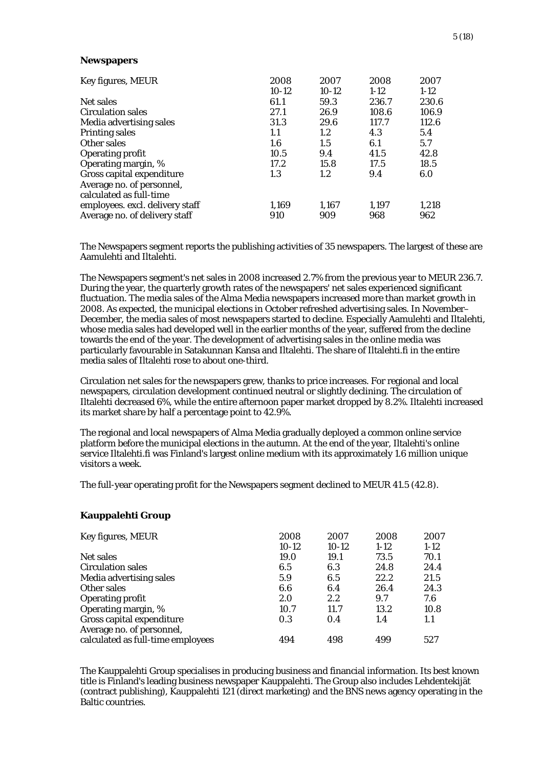#### **Newspapers**

| Key figures, MEUR               | 2008    | 2007    | 2008   | 2007   |
|---------------------------------|---------|---------|--------|--------|
|                                 | $10-12$ | $10-12$ | $1-12$ | $1-12$ |
| Net sales                       | 61.1    | 59.3    | 236.7  | 230.6  |
| <b>Circulation sales</b>        | 27.1    | 26.9    | 108.6  | 106.9  |
| Media advertising sales         | 31.3    | 29.6    | 117.7  | 112.6  |
| <b>Printing sales</b>           | 1.1     | $1.2\,$ | 4.3    | 5.4    |
| Other sales                     | $1.6\,$ | 1.5     | 6.1    | 5.7    |
| <b>Operating profit</b>         | 10.5    | 9.4     | 41.5   | 42.8   |
| Operating margin, %             | 17.2    | 15.8    | 17.5   | 18.5   |
| Gross capital expenditure       | 1.3     | 1.2     | 9.4    | 6.0    |
| Average no. of personnel,       |         |         |        |        |
| calculated as full-time         |         |         |        |        |
| employees. excl. delivery staff | 1,169   | 1,167   | 1,197  | 1,218  |
| Average no. of delivery staff   | 910     | 909     | 968    | 962    |

The Newspapers segment reports the publishing activities of 35 newspapers. The largest of these are Aamulehti and Iltalehti.

The Newspapers segment's net sales in 2008 increased 2.7% from the previous year to MEUR 236.7. During the year, the quarterly growth rates of the newspapers' net sales experienced significant fluctuation. The media sales of the Alma Media newspapers increased more than market growth in 2008. As expected, the municipal elections in October refreshed advertising sales. In November– December, the media sales of most newspapers started to decline. Especially Aamulehti and Iltalehti, whose media sales had developed well in the earlier months of the year, suffered from the decline towards the end of the year. The development of advertising sales in the online media was particularly favourable in Satakunnan Kansa and Iltalehti. The share of Iltalehti.fi in the entire media sales of Iltalehti rose to about one-third.

Circulation net sales for the newspapers grew, thanks to price increases. For regional and local newspapers, circulation development continued neutral or slightly declining. The circulation of Iltalehti decreased 6%, while the entire afternoon paper market dropped by 8.2%. Iltalehti increased its market share by half a percentage point to 42.9%.

The regional and local newspapers of Alma Media gradually deployed a common online service platform before the municipal elections in the autumn. At the end of the year, Iltalehti's online service Iltalehti.fi was Finland's largest online medium with its approximately 1.6 million unique visitors a week.

The full-year operating profit for the Newspapers segment declined to MEUR 41.5 (42.8).

# **Kauppalehti Group**

| Key figures, MEUR                 | 2008    | 2007    | 2008   | 2007   |
|-----------------------------------|---------|---------|--------|--------|
|                                   | $10-12$ | $10-12$ | $1-12$ | $1-12$ |
| Net sales                         | 19.0    | 19.1    | 73.5   | 70.1   |
| <b>Circulation sales</b>          | 6.5     | 6.3     | 24.8   | 24.4   |
| Media advertising sales           | 5.9     | 6.5     | 22.2   | 21.5   |
| Other sales                       | 6.6     | 6.4     | 26.4   | 24.3   |
| <b>Operating profit</b>           | 2.0     | 2.2     | 9.7    | 7.6    |
| Operating margin, %               | 10.7    | 11.7    | 13.2   | 10.8   |
| Gross capital expenditure         | 0.3     | 0.4     | 1.4    | 1.1    |
| Average no. of personnel,         |         |         |        |        |
| calculated as full-time employees | 494     | 498     | 499    | 527    |

The Kauppalehti Group specialises in producing business and financial information. Its best known title is Finland's leading business newspaper Kauppalehti. The Group also includes Lehdentekijät (contract publishing), Kauppalehti 121 (direct marketing) and the BNS news agency operating in the Baltic countries.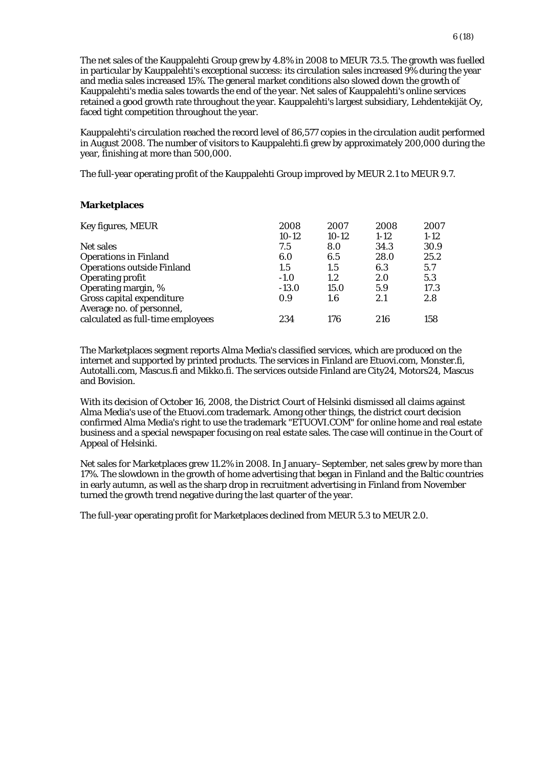The net sales of the Kauppalehti Group grew by 4.8% in 2008 to MEUR 73.5. The growth was fuelled in particular by Kauppalehti's exceptional success: its circulation sales increased 9% during the year and media sales increased 15%. The general market conditions also slowed down the growth of Kauppalehti's media sales towards the end of the year. Net sales of Kauppalehti's online services retained a good growth rate throughout the year. Kauppalehti's largest subsidiary, Lehdentekijät Oy, faced tight competition throughout the year.

Kauppalehti's circulation reached the record level of 86,577 copies in the circulation audit performed in August 2008. The number of visitors to Kauppalehti.fi grew by approximately 200,000 during the year, finishing at more than 500,000.

The full-year operating profit of the Kauppalehti Group improved by MEUR 2.1 to MEUR 9.7.

# **Marketplaces**

| Key figures, MEUR                 | 2008    | 2007    | 2008   | 2007   |
|-----------------------------------|---------|---------|--------|--------|
|                                   | $10-12$ | $10-12$ | $1-12$ | $1-12$ |
| Net sales                         | 7.5     | 8.0     | 34.3   | 30.9   |
| <b>Operations in Finland</b>      | 6.0     | 6.5     | 28.0   | 25.2   |
| <b>Operations outside Finland</b> | $1.5\,$ | 1.5     | 6.3    | 5.7    |
| <b>Operating profit</b>           | $-1.0$  | 1.2     | 2.0    | 5.3    |
| Operating margin, %               | $-13.0$ | 15.0    | 5.9    | 17.3   |
| Gross capital expenditure         | 0.9     | 1.6     | 2.1    | 2.8    |
| Average no. of personnel,         |         |         |        |        |
| calculated as full-time employees | 234     | 176     | 216    | 158    |

The Marketplaces segment reports Alma Media's classified services, which are produced on the internet and supported by printed products. The services in Finland are Etuovi.com, Monster.fi, Autotalli.com, Mascus.fi and Mikko.fi. The services outside Finland are City24, Motors24, Mascus and Bovision.

With its decision of October 16, 2008, the District Court of Helsinki dismissed all claims against Alma Media's use of the Etuovi.com trademark. Among other things, the district court decision confirmed Alma Media's right to use the trademark "ETUOVI.COM" for online home and real estate business and a special newspaper focusing on real estate sales. The case will continue in the Court of Appeal of Helsinki.

Net sales for Marketplaces grew 11.2% in 2008. In January–September, net sales grew by more than 17%. The slowdown in the growth of home advertising that began in Finland and the Baltic countries in early autumn, as well as the sharp drop in recruitment advertising in Finland from November turned the growth trend negative during the last quarter of the year.

The full-year operating profit for Marketplaces declined from MEUR 5.3 to MEUR 2.0.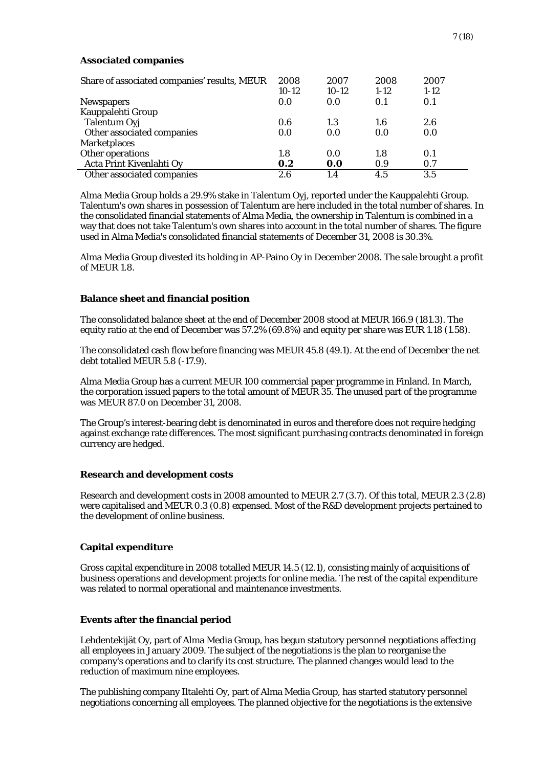# **Associated companies**

| Share of associated companies' results, MEUR | 2008<br>$10-12$ | 2007<br>$10-12$ | 2008<br>$1-12$ | 2007<br>$1-12$ |  |
|----------------------------------------------|-----------------|-----------------|----------------|----------------|--|
| <b>Newspapers</b>                            | 0.0             | 0.0             | 0.1            | 0.1            |  |
| Kauppalehti Group                            |                 |                 |                |                |  |
| Talentum Oyj                                 | 0.6             | 1.3             | 1.6            | 2.6            |  |
| Other associated companies                   | 0.0             | 0.0             | 0.0            | 0.0            |  |
| <b>Marketplaces</b>                          |                 |                 |                |                |  |
| Other operations                             | 1.8             | 0.0             | 1.8            | 0.1            |  |
| Acta Print Kivenlahti Oy                     | 0.2             | 0.0             | 0.9            | 0.7            |  |
| Other associated companies                   | 2.6             | 1.4             | 4.5            | 3.5            |  |

Alma Media Group holds a 29.9% stake in Talentum Oyj, reported under the Kauppalehti Group. Talentum's own shares in possession of Talentum are here included in the total number of shares. In the consolidated financial statements of Alma Media, the ownership in Talentum is combined in a way that does not take Talentum's own shares into account in the total number of shares. The figure used in Alma Media's consolidated financial statements of December 31, 2008 is 30.3%.

Alma Media Group divested its holding in AP-Paino Oy in December 2008. The sale brought a profit of MEUR 1.8.

# **Balance sheet and financial position**

The consolidated balance sheet at the end of December 2008 stood at MEUR 166.9 (181.3). The equity ratio at the end of December was 57.2% (69.8%) and equity per share was EUR 1.18 (1.58).

The consolidated cash flow before financing was MEUR 45.8 (49.1). At the end of December the net debt totalled MEUR 5.8 (-17.9).

Alma Media Group has a current MEUR 100 commercial paper programme in Finland. In March, the corporation issued papers to the total amount of MEUR 35. The unused part of the programme was MEUR 87.0 on December 31, 2008.

The Group's interest-bearing debt is denominated in euros and therefore does not require hedging against exchange rate differences. The most significant purchasing contracts denominated in foreign currency are hedged.

# **Research and development costs**

Research and development costs in 2008 amounted to MEUR 2.7 (3.7). Of this total, MEUR 2.3 (2.8) were capitalised and MEUR 0.3 (0.8) expensed. Most of the R&D development projects pertained to the development of online business.

# **Capital expenditure**

Gross capital expenditure in 2008 totalled MEUR 14.5 (12.1), consisting mainly of acquisitions of business operations and development projects for online media. The rest of the capital expenditure was related to normal operational and maintenance investments.

# **Events after the financial period**

Lehdentekijät Oy, part of Alma Media Group, has begun statutory personnel negotiations affecting all employees in January 2009. The subject of the negotiations is the plan to reorganise the company's operations and to clarify its cost structure. The planned changes would lead to the reduction of maximum nine employees.

The publishing company Iltalehti Oy, part of Alma Media Group, has started statutory personnel negotiations concerning all employees. The planned objective for the negotiations is the extensive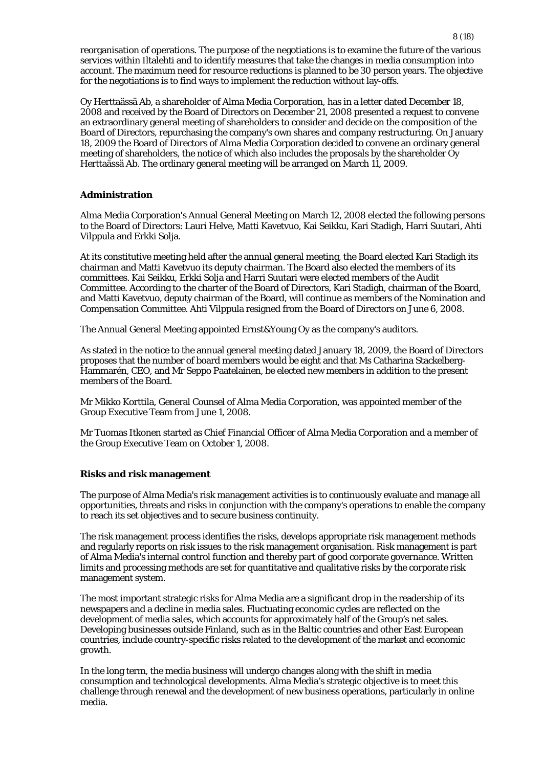reorganisation of operations. The purpose of the negotiations is to examine the future of the various services within Iltalehti and to identify measures that take the changes in media consumption into account. The maximum need for resource reductions is planned to be 30 person years. The objective for the negotiations is to find ways to implement the reduction without lay-offs.

Oy Herttaässä Ab, a shareholder of Alma Media Corporation, has in a letter dated December 18, 2008 and received by the Board of Directors on December 21, 2008 presented a request to convene an extraordinary general meeting of shareholders to consider and decide on the composition of the Board of Directors, repurchasing the company's own shares and company restructuring. On January 18, 2009 the Board of Directors of Alma Media Corporation decided to convene an ordinary general meeting of shareholders, the notice of which also includes the proposals by the shareholder Oy Herttaässä Ab. The ordinary general meeting will be arranged on March 11, 2009.

# **Administration**

Alma Media Corporation's Annual General Meeting on March 12, 2008 elected the following persons to the Board of Directors: Lauri Helve, Matti Kavetvuo, Kai Seikku, Kari Stadigh, Harri Suutari, Ahti Vilppula and Erkki Solja.

At its constitutive meeting held after the annual general meeting, the Board elected Kari Stadigh its chairman and Matti Kavetvuo its deputy chairman. The Board also elected the members of its committees. Kai Seikku, Erkki Solja and Harri Suutari were elected members of the Audit Committee. According to the charter of the Board of Directors, Kari Stadigh, chairman of the Board, and Matti Kavetvuo, deputy chairman of the Board, will continue as members of the Nomination and Compensation Committee. Ahti Vilppula resigned from the Board of Directors on June 6, 2008.

The Annual General Meeting appointed Ernst&Young Oy as the company's auditors.

As stated in the notice to the annual general meeting dated January 18, 2009, the Board of Directors proposes that the number of board members would be eight and that Ms Catharina Stackelberg-Hammarén, CEO, and Mr Seppo Paatelainen, be elected new members in addition to the present members of the Board.

Mr Mikko Korttila, General Counsel of Alma Media Corporation, was appointed member of the Group Executive Team from June 1, 2008.

Mr Tuomas Itkonen started as Chief Financial Officer of Alma Media Corporation and a member of the Group Executive Team on October 1, 2008.

# **Risks and risk management**

The purpose of Alma Media's risk management activities is to continuously evaluate and manage all opportunities, threats and risks in conjunction with the company's operations to enable the company to reach its set objectives and to secure business continuity.

The risk management process identifies the risks, develops appropriate risk management methods and regularly reports on risk issues to the risk management organisation. Risk management is part of Alma Media's internal control function and thereby part of good corporate governance. Written limits and processing methods are set for quantitative and qualitative risks by the corporate risk management system.

The most important strategic risks for Alma Media are a significant drop in the readership of its newspapers and a decline in media sales. Fluctuating economic cycles are reflected on the development of media sales, which accounts for approximately half of the Group's net sales. Developing businesses outside Finland, such as in the Baltic countries and other East European countries, include country-specific risks related to the development of the market and economic growth.

In the long term, the media business will undergo changes along with the shift in media consumption and technological developments. Alma Media's strategic objective is to meet this challenge through renewal and the development of new business operations, particularly in online media.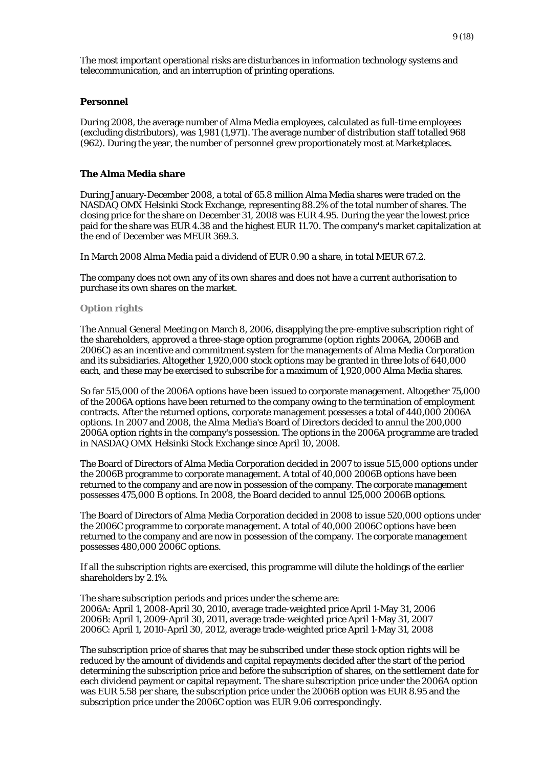The most important operational risks are disturbances in information technology systems and telecommunication, and an interruption of printing operations.

#### **Personnel**

During 2008, the average number of Alma Media employees, calculated as full-time employees (excluding distributors), was 1,981 (1,971). The average number of distribution staff totalled 968 (962). During the year, the number of personnel grew proportionately most at Marketplaces.

# **The Alma Media share**

During January-December 2008, a total of 65.8 million Alma Media shares were traded on the NASDAQ OMX Helsinki Stock Exchange, representing 88.2% of the total number of shares. The closing price for the share on December 31, 2008 was EUR 4.95. During the year the lowest price paid for the share was EUR 4.38 and the highest EUR 11.70. The company's market capitalization at the end of December was MEUR 369.3.

In March 2008 Alma Media paid a dividend of EUR 0.90 a share, in total MEUR 67.2.

The company does not own any of its own shares and does not have a current authorisation to purchase its own shares on the market.

#### **Option rights**

The Annual General Meeting on March 8, 2006, disapplying the pre-emptive subscription right of the shareholders, approved a three-stage option programme (option rights 2006A, 2006B and 2006C) as an incentive and commitment system for the managements of Alma Media Corporation and its subsidiaries. Altogether 1,920,000 stock options may be granted in three lots of 640,000 each, and these may be exercised to subscribe for a maximum of 1,920,000 Alma Media shares.

So far 515,000 of the 2006A options have been issued to corporate management. Altogether 75,000 of the 2006A options have been returned to the company owing to the termination of employment contracts. After the returned options, corporate management possesses a total of 440,000 2006A options. In 2007 and 2008, the Alma Media's Board of Directors decided to annul the 200,000 2006A option rights in the company's possession. The options in the 2006A programme are traded in NASDAQ OMX Helsinki Stock Exchange since April 10, 2008.

The Board of Directors of Alma Media Corporation decided in 2007 to issue 515,000 options under the 2006B programme to corporate management. A total of 40,000 2006B options have been returned to the company and are now in possession of the company. The corporate management possesses 475,000 B options. In 2008, the Board decided to annul 125,000 2006B options.

The Board of Directors of Alma Media Corporation decided in 2008 to issue 520,000 options under the 2006C programme to corporate management. A total of 40,000 2006C options have been returned to the company and are now in possession of the company. The corporate management possesses 480,000 2006C options.

If all the subscription rights are exercised, this programme will dilute the holdings of the earlier shareholders by 2.1%.

The share subscription periods and prices under the scheme are: 2006A: April 1, 2008-April 30, 2010, average trade-weighted price April 1-May 31, 2006 2006B: April 1, 2009-April 30, 2011, average trade-weighted price April 1-May 31, 2007 2006C: April 1, 2010-April 30, 2012, average trade-weighted price April 1-May 31, 2008

The subscription price of shares that may be subscribed under these stock option rights will be reduced by the amount of dividends and capital repayments decided after the start of the period determining the subscription price and before the subscription of shares, on the settlement date for each dividend payment or capital repayment. The share subscription price under the 2006A option was EUR 5.58 per share, the subscription price under the 2006B option was EUR 8.95 and the subscription price under the 2006C option was EUR 9.06 correspondingly.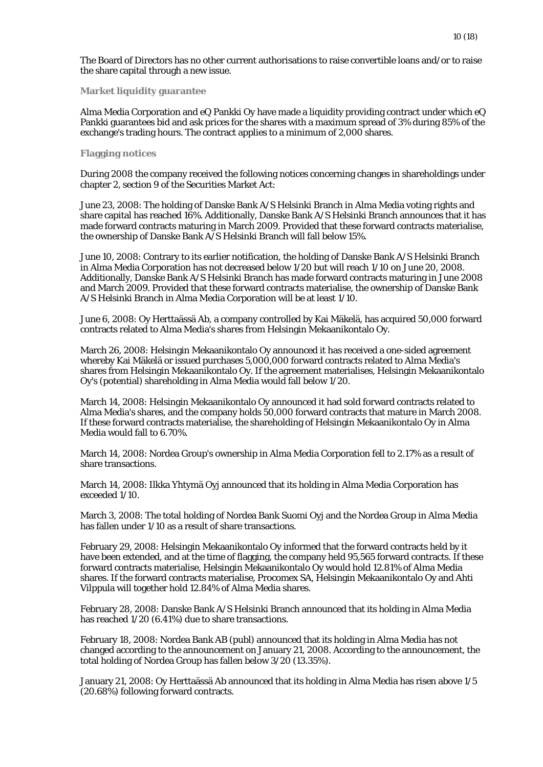The Board of Directors has no other current authorisations to raise convertible loans and/or to raise the share capital through a new issue.

**Market liquidity guarantee** 

Alma Media Corporation and eQ Pankki Oy have made a liquidity providing contract under which eQ Pankki guarantees bid and ask prices for the shares with a maximum spread of 3% during 85% of the exchange's trading hours. The contract applies to a minimum of 2,000 shares.

#### **Flagging notices**

During 2008 the company received the following notices concerning changes in shareholdings under chapter 2, section 9 of the Securities Market Act:

June 23, 2008: The holding of Danske Bank A/S Helsinki Branch in Alma Media voting rights and share capital has reached 16%. Additionally, Danske Bank A/S Helsinki Branch announces that it has made forward contracts maturing in March 2009. Provided that these forward contracts materialise, the ownership of Danske Bank A/S Helsinki Branch will fall below 15%.

June 10, 2008: Contrary to its earlier notification, the holding of Danske Bank A/S Helsinki Branch in Alma Media Corporation has not decreased below 1/20 but will reach 1/10 on June 20, 2008. Additionally, Danske Bank A/S Helsinki Branch has made forward contracts maturing in June 2008 and March 2009. Provided that these forward contracts materialise, the ownership of Danske Bank A/S Helsinki Branch in Alma Media Corporation will be at least 1/10.

June 6, 2008: Oy Herttaässä Ab, a company controlled by Kai Mäkelä, has acquired 50,000 forward contracts related to Alma Media's shares from Helsingin Mekaanikontalo Oy.

March 26, 2008: Helsingin Mekaanikontalo Oy announced it has received a one-sided agreement whereby Kai Mäkelä or issued purchases 5,000,000 forward contracts related to Alma Media's shares from Helsingin Mekaanikontalo Oy. If the agreement materialises, Helsingin Mekaanikontalo Oy's (potential) shareholding in Alma Media would fall below 1/20.

March 14, 2008: Helsingin Mekaanikontalo Oy announced it had sold forward contracts related to Alma Media's shares, and the company holds 50,000 forward contracts that mature in March 2008. If these forward contracts materialise, the shareholding of Helsingin Mekaanikontalo Oy in Alma Media would fall to 6.70%.

March 14, 2008: Nordea Group's ownership in Alma Media Corporation fell to 2.17% as a result of share transactions.

March 14, 2008: Ilkka Yhtymä Oyj announced that its holding in Alma Media Corporation has exceeded 1/10.

March 3, 2008: The total holding of Nordea Bank Suomi Oyj and the Nordea Group in Alma Media has fallen under 1/10 as a result of share transactions.

February 29, 2008: Helsingin Mekaanikontalo Oy informed that the forward contracts held by it have been extended, and at the time of flagging, the company held 95,565 forward contracts. If these forward contracts materialise, Helsingin Mekaanikontalo Oy would hold 12.81% of Alma Media shares. If the forward contracts materialise, Procomex SA, Helsingin Mekaanikontalo Oy and Ahti Vilppula will together hold 12.84% of Alma Media shares.

February 28, 2008: Danske Bank A/S Helsinki Branch announced that its holding in Alma Media has reached 1/20 (6.41%) due to share transactions.

February 18, 2008: Nordea Bank AB (publ) announced that its holding in Alma Media has not changed according to the announcement on January 21, 2008. According to the announcement, the total holding of Nordea Group has fallen below 3/20 (13.35%).

January 21, 2008: Oy Herttaässä Ab announced that its holding in Alma Media has risen above 1/5 (20.68%) following forward contracts.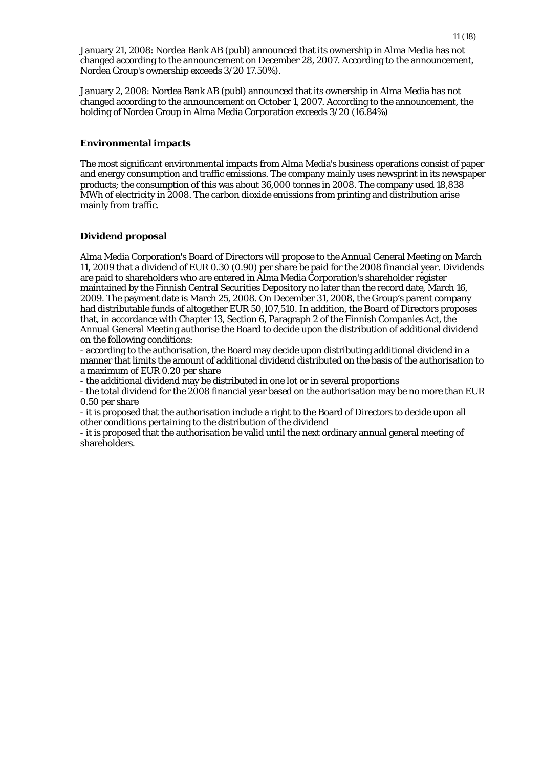January 21, 2008: Nordea Bank AB (publ) announced that its ownership in Alma Media has not changed according to the announcement on December 28, 2007. According to the announcement, Nordea Group's ownership exceeds 3/20 17.50%).

January 2, 2008: Nordea Bank AB (publ) announced that its ownership in Alma Media has not changed according to the announcement on October 1, 2007. According to the announcement, the holding of Nordea Group in Alma Media Corporation exceeds 3/20 (16.84%)

# **Environmental impacts**

The most significant environmental impacts from Alma Media's business operations consist of paper and energy consumption and traffic emissions. The company mainly uses newsprint in its newspaper products; the consumption of this was about 36,000 tonnes in 2008. The company used 18,838 MWh of electricity in 2008. The carbon dioxide emissions from printing and distribution arise mainly from traffic.

# **Dividend proposal**

Alma Media Corporation's Board of Directors will propose to the Annual General Meeting on March 11, 2009 that a dividend of EUR 0.30 (0.90) per share be paid for the 2008 financial year. Dividends are paid to shareholders who are entered in Alma Media Corporation's shareholder register maintained by the Finnish Central Securities Depository no later than the record date, March 16, 2009. The payment date is March 25, 2008. On December 31, 2008, the Group's parent company had distributable funds of altogether EUR 50,107,510. In addition, the Board of Directors proposes that, in accordance with Chapter 13, Section 6, Paragraph 2 of the Finnish Companies Act, the Annual General Meeting authorise the Board to decide upon the distribution of additional dividend on the following conditions:

- according to the authorisation, the Board may decide upon distributing additional dividend in a manner that limits the amount of additional dividend distributed on the basis of the authorisation to a maximum of EUR 0.20 per share

- the additional dividend may be distributed in one lot or in several proportions

- the total dividend for the 2008 financial year based on the authorisation may be no more than EUR 0.50 per share

- it is proposed that the authorisation include a right to the Board of Directors to decide upon all other conditions pertaining to the distribution of the dividend

- it is proposed that the authorisation be valid until the next ordinary annual general meeting of shareholders.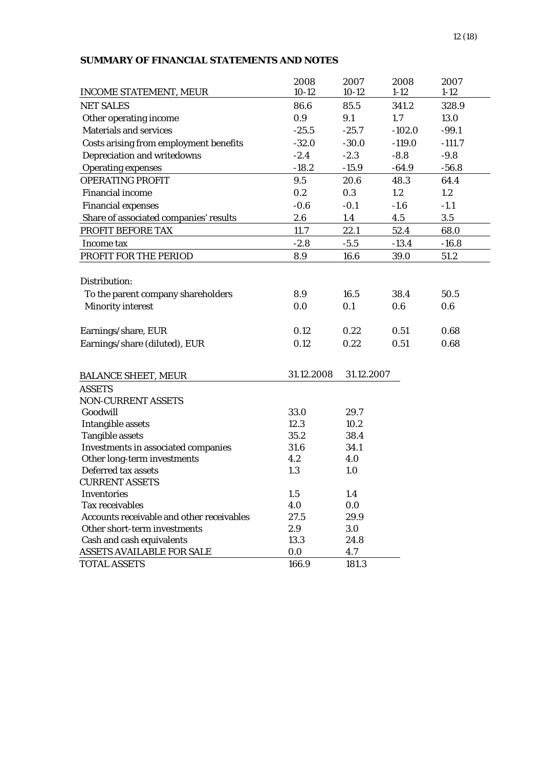# **SUMMARY OF FINANCIAL STATEMENTS AND NOTES**

|                                           | 2008        | 2007        | 2008     | 2007     |
|-------------------------------------------|-------------|-------------|----------|----------|
| <b>INCOME STATEMENT, MEUR</b>             | $10-12$     | $10-12$     | $1 - 12$ | $1 - 12$ |
| <b>NET SALES</b>                          | 86.6        | 85.5        | 341.2    | 328.9    |
| Other operating income                    | 0.9         | 9.1         | 1.7      | 13.0     |
| <b>Materials and services</b>             | $-25.5$     | $-25.7$     | $-102.0$ | $-99.1$  |
| Costs arising from employment benefits    | $-32.0$     | $-30.0$     | $-119.0$ | $-111.7$ |
| Depreciation and writedowns               | $-2.4$      | $-2.3$      | $-8.8$   | $-9.8$   |
| <b>Operating expenses</b>                 | $-18.2$     | $-15.9$     | $-64.9$  | $-56.8$  |
| <b>OPERATING PROFIT</b>                   | 9.5         | 20.6        | 48.3     | 64.4     |
| <b>Financial income</b>                   | 0.2         | 0.3         | 1.2      | 1.2      |
| <b>Financial expenses</b>                 | $-0.6$      | $-0.1$      | $-1.6$   | $-1.1$   |
| Share of associated companies' results    | 2.6         | 1.4         | 4.5      | 3.5      |
| PROFIT BEFORE TAX                         | 11.7        | 22.1        | 52.4     | 68.0     |
| Income tax                                | $-2.8$      | $-5.5$      | $-13.4$  | $-16.8$  |
| PROFIT FOR THE PERIOD                     | 8.9         | 16.6        | 39.0     | 51.2     |
|                                           |             |             |          |          |
| Distribution:                             |             |             |          |          |
| To the parent company shareholders        | 8.9         | 16.5        | 38.4     | 50.5     |
| <b>Minority interest</b>                  | 0.0         | 0.1         | 0.6      | 0.6      |
|                                           |             |             |          |          |
| Earnings/share, EUR                       | 0.12        | 0.22        | 0.51     | 0.68     |
| Earnings/share (diluted), EUR             | 0.12        | 0.22        | 0.51     | 0.68     |
|                                           |             |             |          |          |
|                                           |             |             |          |          |
| <b>BALANCE SHEET, MEUR</b>                | 31.12.2008  | 31.12.2007  |          |          |
| <b>ASSETS</b>                             |             |             |          |          |
| <b>NON-CURRENT ASSETS</b>                 |             |             |          |          |
| Goodwill                                  | 33.0        | 29.7        |          |          |
| <b>Intangible assets</b>                  | 12.3        | 10.2        |          |          |
| <b>Tangible assets</b>                    | 35.2        | 38.4        |          |          |
| Investments in associated companies       | 31.6        | 34.1        |          |          |
| Other long-term investments               | 4.2         | 4.0         |          |          |
| Deferred tax assets                       | 1.3         | 1.0         |          |          |
| <b>CURRENT ASSETS</b>                     |             |             |          |          |
| Inventories<br><b>Tax receivables</b>     | 1.5         | 1.4         |          |          |
| Accounts receivable and other receivables | 4.0<br>27.5 | 0.0<br>29.9 |          |          |
| Other short-term investments              | 2.9         | 3.0         |          |          |
| Cash and cash equivalents                 | 13.3        | 24.8        |          |          |
| ASSETS AVAILABLE FOR SALE                 | 0.0         | 4.7         |          |          |
| <b>TOTAL ASSETS</b>                       | 166.9       | 181.3       |          |          |
|                                           |             |             |          |          |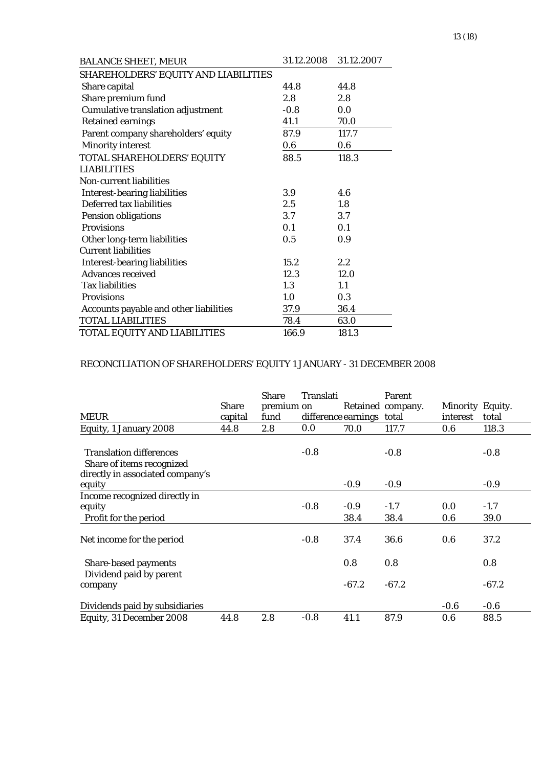| <b>BALANCE SHEET, MEUR</b>               | 31.12.2008 | 31.12.2007 |
|------------------------------------------|------------|------------|
| SHAREHOLDERS' EQUITY AND LIABILITIES     |            |            |
| Share capital                            | 44.8       | 44.8       |
| Share premium fund                       | 2.8        | 2.8        |
| <b>Cumulative translation adjustment</b> | $-0.8$     | 0.0        |
| <b>Retained earnings</b>                 | 41.1       | 70.0       |
| Parent company shareholders' equity      | 87.9       | 117.7      |
| <b>Minority interest</b>                 | 0.6        | $0.6\,$    |
| TOTAL SHAREHOLDERS' EQUITY               | 88.5       | 118.3      |
| <b>LIABILITIES</b>                       |            |            |
| Non-current liabilities                  |            |            |
| <b>Interest-bearing liabilities</b>      | 3.9        | 4.6        |
| Deferred tax liabilities                 | 2.5        | 1.8        |
| <b>Pension obligations</b>               | 3.7        | 3.7        |
| <b>Provisions</b>                        | 0.1        | 0.1        |
| Other long-term liabilities              | 0.5        | 0.9        |
| <b>Current liabilities</b>               |            |            |
| <b>Interest-bearing liabilities</b>      | 15.2       | 2.2        |
| <b>Advances received</b>                 | 12.3       | 12.0       |
| <b>Tax liabilities</b>                   | 1.3        | 1.1        |
| <b>Provisions</b>                        | 1.0        | 0.3        |
| Accounts payable and other liabilities   | 37.9       | 36.4       |
| <b>TOTAL LIABILITIES</b>                 | 78.4       | 63.0       |
| TOTAL EQUITY AND LIABILITIES             | 166.9      | 181.3      |

# RECONCILIATION OF SHAREHOLDERS' EQUITY 1 JANUARY - 31 DECEMBER 2008

| <b>MEUR</b>                                                                                     | <b>Share</b><br>capital | <b>Share</b><br>premium on<br>fund | Translati | difference earnings | Parent<br>Retained company.<br>total | Minority Equity.<br>interest | total          |
|-------------------------------------------------------------------------------------------------|-------------------------|------------------------------------|-----------|---------------------|--------------------------------------|------------------------------|----------------|
| Equity, 1 January 2008                                                                          | 44.8                    | 2.8                                | 0.0       | 70.0                | 117.7                                | 0.6                          | 118.3          |
| <b>Translation differences</b><br>Share of items recognized<br>directly in associated company's |                         |                                    | $-0.8$    |                     | $-0.8$                               |                              | $-0.8$         |
| equity                                                                                          |                         |                                    |           | $-0.9$              | $-0.9$                               |                              | $-0.9$         |
| Income recognized directly in<br>equity<br>Profit for the period                                |                         |                                    | $-0.8$    | $-0.9$<br>38.4      | $-1.7$<br>38.4                       | 0.0<br>0.6                   | $-1.7$<br>39.0 |
| Net income for the period                                                                       |                         |                                    | $-0.8$    | 37.4                | 36.6                                 | 0.6                          | 37.2           |
| <b>Share-based payments</b><br>Dividend paid by parent                                          |                         |                                    |           | 0.8                 | 0.8                                  |                              | 0.8            |
| company                                                                                         |                         |                                    |           | $-67.2$             | $-67.2$                              |                              | $-67.2$        |
| Dividends paid by subsidiaries                                                                  |                         |                                    |           |                     |                                      | $-0.6$                       | $-0.6$         |
| Equity, 31 December 2008                                                                        | 44.8                    | 2.8                                | $-0.8$    | 41.1                | 87.9                                 | 0.6                          | 88.5           |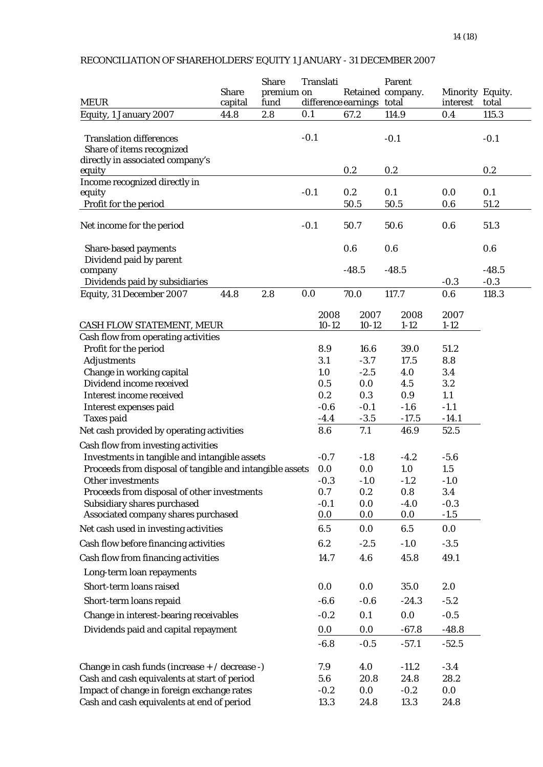#### MEUR Share capital Share premium on fund Translati difference earnings Retained company. Parent total Minority Equity. interest total Equity, 1 January 2007 44.8 2.8 0.1 67.2 114.9 0.4 115.3 Translation differences and the control of the control of the control of the control of the control of the control of the control of the control of the control of the control of the control of the control of the control of Share of items recognized directly in associated company's equity  $0.2$   $0.2$   $0.2$   $0.2$ Income recognized directly in equity -0.1 0.2 0.1 0.0 0.1 Profit for the period 50.5 50.5 0.6 51.2 Net income for the period 100 000 -0.1 50.7 50.6 0.6 51.3 Share-based payments 0.6 0.6 0.6 0.6 0.6 Dividend paid by parent  $-48.5$   $-48.5$   $-48.5$   $-48.5$ Dividends paid by subsidiaries  $-0.3$  -0.3  $-0.3$ Equity, 31 December 2007 44.8 2.8 0.0 70.0 117.7 0.6 118.3 CASH FLOW STATEMENT, MEUR 2008 10-12 2007 10-12 2008 1-12 2007 1-12 Cash flow from operating activities Profit for the period 8.9 16.6 39.0 51.2 Adjustments 3.1 -3.7 17.5 8.8 Change in working capital 1.0  $-2.5$  4.0  $3.4$ Dividend income received 0.5 0.0 4.5 3.2 Interest income received 0.2 0.3 0.9 1.1 Interest expenses paid  $-0.6$   $-0.1$   $-1.6$   $-1.1$ Taxes paid  $-4.4$   $-3.5$   $-17.5$   $-14.1$ Net cash provided by operating activities 8.6 7.1 46.9 52.5 Cash flow from investing activities Investments in tangible and intangible assets  $-0.7$   $-1.8$   $-4.2$   $-5.6$ Proceeds from disposal of tangible and intangible assets 0.0 0.0 1.0 1.5 Other investments  $-0.3$   $-1.0$   $-1.2$   $-1.0$ Proceeds from disposal of other investments  $0.7$   $0.2$   $0.8$   $3.4$ Subsidiary shares purchased  $-0.1$  0.0  $-4.0$   $-0.3$ Associated company shares purchased 0.0 0.0 0.0 -1.5 Net cash used in investing activities 6.5 0.0 6.5 0.0 Cash flow before financing activities 6.2 -2.5 -1.0 -3.5 Cash flow from financing activities 14.7 4.6 45.8 49.1 Long-term loan repayments Short-term loans raised 0.0 0.0 35.0 2.0 Short-term loans repaid  $\begin{array}{cccc} -6.6 & -0.6 & -24.3 & -5.2 \end{array}$ Change in interest-bearing receivables  $-0.2$  0.1 0.0  $-0.5$  Dividends paid and capital repayment 0.0 0.0 -67.8 -48.8  $-6.8$   $-0.5$   $-57.1$   $-52.5$ Change in cash funds (increase  $+ /$  decrease -)  $\qquad 7.9 \qquad 4.0 \qquad -11.2 \qquad -3.4$ Cash and cash equivalents at start of period 5.6 20.8 24.8 28.2 Impact of change in foreign exchange rates  $-0.2$  0.0  $-0.2$  0.0 0.0 Cash and cash equivalents at end of period 13.3 24.8 13.3 24.8

#### RECONCILIATION OF SHAREHOLDERS' EQUITY 1 JANUARY - 31 DECEMBER 2007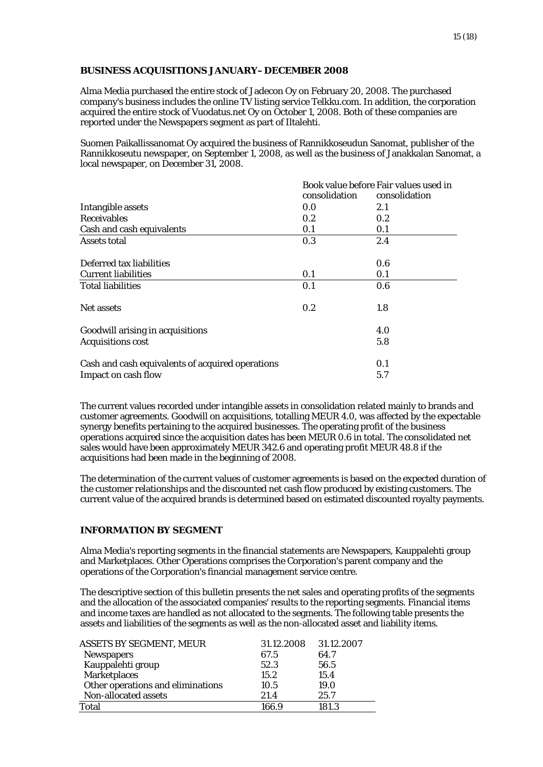# **BUSINESS ACQUISITIONS JANUARY–DECEMBER 2008**

Alma Media purchased the entire stock of Jadecon Oy on February 20, 2008. The purchased company's business includes the online TV listing service Telkku.com. In addition, the corporation acquired the entire stock of Vuodatus.net Oy on October 1, 2008. Both of these companies are reported under the Newspapers segment as part of Iltalehti.

Suomen Paikallissanomat Oy acquired the business of Rannikkoseudun Sanomat, publisher of the Rannikkoseutu newspaper, on September 1, 2008, as well as the business of Janakkalan Sanomat, a local newspaper, on December 31, 2008.

|                                                  | Book value before Fair values used in |               |  |
|--------------------------------------------------|---------------------------------------|---------------|--|
|                                                  | consolidation                         | consolidation |  |
| Intangible assets                                | 0.0                                   | 2.1           |  |
| <b>Receivables</b>                               | 0.2                                   | 0.2           |  |
| Cash and cash equivalents                        | 0.1                                   | 0.1           |  |
| Assets total                                     | 0.3                                   | 2.4           |  |
| Deferred tax liabilities                         |                                       | 0.6           |  |
| <b>Current liabilities</b>                       | 0.1                                   | 0.1           |  |
| <b>Total liabilities</b>                         | 0.1                                   | 0.6           |  |
| Net assets                                       | 0.2                                   | 1.8           |  |
| Goodwill arising in acquisitions                 |                                       | 4.0           |  |
| <b>Acquisitions cost</b>                         |                                       | 5.8           |  |
| Cash and cash equivalents of acquired operations |                                       | 0.1           |  |
| Impact on cash flow                              |                                       | 5.7           |  |

The current values recorded under intangible assets in consolidation related mainly to brands and customer agreements. Goodwill on acquisitions, totalling MEUR 4.0, was affected by the expectable synergy benefits pertaining to the acquired businesses. The operating profit of the business operations acquired since the acquisition dates has been MEUR 0.6 in total. The consolidated net sales would have been approximately MEUR 342.6 and operating profit MEUR 48.8 if the acquisitions had been made in the beginning of 2008.

The determination of the current values of customer agreements is based on the expected duration of the customer relationships and the discounted net cash flow produced by existing customers. The current value of the acquired brands is determined based on estimated discounted royalty payments.

# **INFORMATION BY SEGMENT**

Alma Media's reporting segments in the financial statements are Newspapers, Kauppalehti group and Marketplaces. Other Operations comprises the Corporation's parent company and the operations of the Corporation's financial management service centre.

The descriptive section of this bulletin presents the net sales and operating profits of the segments and the allocation of the associated companies' results to the reporting segments. Financial items and income taxes are handled as not allocated to the segments. The following table presents the assets and liabilities of the segments as well as the non-allocated asset and liability items.

| <b>ASSETS BY SEGMENT, MEUR</b>    | 31.12.2008 | 31.12.2007 |
|-----------------------------------|------------|------------|
| <b>Newspapers</b>                 | 67.5       | 64.7       |
| Kauppalehti group                 | 52.3       | 56.5       |
| <b>Marketplaces</b>               | 15.2       | 15.4       |
| Other operations and eliminations | 10.5       | 19.0       |
| Non-allocated assets              | 21.4       | 25.7       |
| <b>Total</b>                      | 166.9      | 181.3      |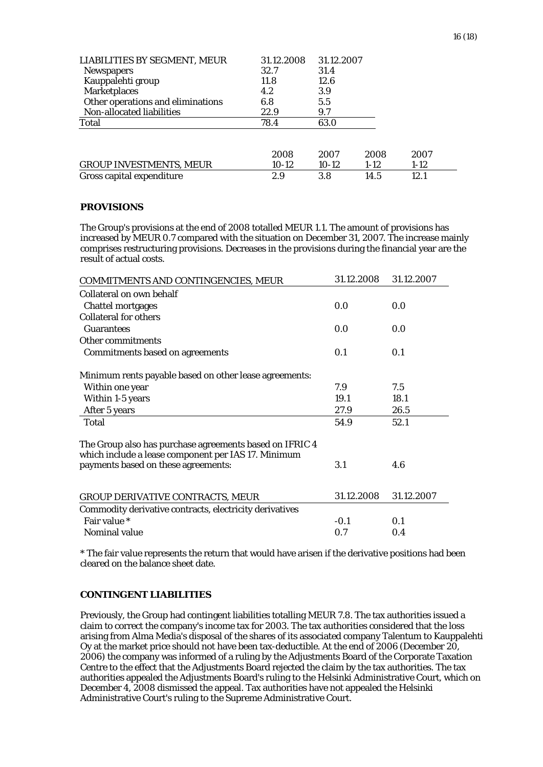| LIABILITIES BY SEGMENT, MEUR      | 31.12.2008 | 31.12.2007 |        |        |
|-----------------------------------|------------|------------|--------|--------|
| <b>Newspapers</b>                 | 32.7       | 31.4       |        |        |
| Kauppalehti group                 | 11.8       | 12.6       |        |        |
| <b>Marketplaces</b>               | 4.2        | 3.9        |        |        |
| Other operations and eliminations | 6.8        | 5.5        |        |        |
| Non-allocated liabilities         | 22.9       | 9.7        |        |        |
| Total                             | 78.4       | 63.0       |        |        |
|                                   |            |            |        |        |
|                                   | 2008       | 2007       | 2008   | 2007   |
| <b>GROUP INVESTMENTS, MEUR</b>    | 10-12      | $10-12$    | $1-12$ | $1-12$ |
| Gross capital expenditure         | 2.9        | 3.8        | 14.5   | 12.1   |

# **PROVISIONS**

The Group's provisions at the end of 2008 totalled MEUR 1.1. The amount of provisions has increased by MEUR 0.7 compared with the situation on December 31, 2007. The increase mainly comprises restructuring provisions. Decreases in the provisions during the financial year are the result of actual costs.

| COMMITMENTS AND CONTINGENCIES, MEUR                                                                            | 31.12.2008 | 31.12.2007 |
|----------------------------------------------------------------------------------------------------------------|------------|------------|
| Collateral on own behalf                                                                                       |            |            |
| <b>Chattel mortgages</b>                                                                                       | 0.0        | 0.0        |
| <b>Collateral for others</b>                                                                                   |            |            |
| <b>Guarantees</b>                                                                                              | 0.0        | 0.0        |
| Other commitments                                                                                              |            |            |
| <b>Commitments based on agreements</b>                                                                         | 0.1        | 0.1        |
| Minimum rents payable based on other lease agreements:                                                         |            |            |
| Within one year                                                                                                | 7.9        | 7.5        |
| Within 1-5 years                                                                                               | 19.1       | 18.1       |
| After 5 years                                                                                                  | 27.9       | 26.5       |
| Total                                                                                                          | 54.9       | 52.1       |
| The Group also has purchase agreements based on IFRIC 4<br>which include a lease component per IAS 17. Minimum |            |            |
| payments based on these agreements:                                                                            | 3.1        | 4.6        |
| <b>GROUP DERIVATIVE CONTRACTS, MEUR</b>                                                                        | 31.12.2008 | 31.12.2007 |
| Commodity derivative contracts, electricity derivatives                                                        |            |            |
| Fair value *                                                                                                   | $-0.1$     | 0.1        |
| Nominal value                                                                                                  | 0.7        | 0.4        |

\* The fair value represents the return that would have arisen if the derivative positions had been cleared on the balance sheet date.

# **CONTINGENT LIABILITIES**

Previously, the Group had contingent liabilities totalling MEUR 7.8. The tax authorities issued a claim to correct the company's income tax for 2003. The tax authorities considered that the loss arising from Alma Media's disposal of the shares of its associated company Talentum to Kauppalehti Oy at the market price should not have been tax-deductible. At the end of 2006 (December 20, 2006) the company was informed of a ruling by the Adjustments Board of the Corporate Taxation Centre to the effect that the Adjustments Board rejected the claim by the tax authorities. The tax authorities appealed the Adjustments Board's ruling to the Helsinki Administrative Court, which on December 4, 2008 dismissed the appeal. Tax authorities have not appealed the Helsinki Administrative Court's ruling to the Supreme Administrative Court.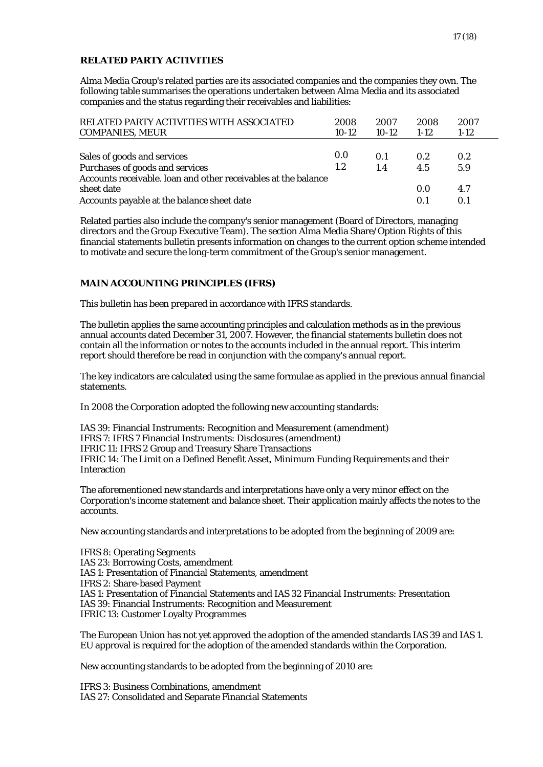# **RELATED PARTY ACTIVITIES**

Alma Media Group's related parties are its associated companies and the companies they own. The following table summarises the operations undertaken between Alma Media and its associated companies and the status regarding their receivables and liabilities:

| RELATED PARTY ACTIVITIES WITH ASSOCIATED                                                                                   | 2008    | 2007    | 2008       | 2007       |
|----------------------------------------------------------------------------------------------------------------------------|---------|---------|------------|------------|
| <b>COMPANIES, MEUR</b>                                                                                                     | $10-12$ | $10-12$ | $1 - 12$   | $1-12$     |
| Sales of goods and services                                                                                                | 0.0     | 0.1     | 0.2        | 0.2        |
| Purchases of goods and services                                                                                            | 1.2     | 1.4     | 4.5        | 5.9        |
| Accounts receivable. Ioan and other receivables at the balance<br>sheet date<br>Accounts payable at the balance sheet date |         |         | 0.0<br>0.1 | 4.7<br>0.1 |

Related parties also include the company's senior management (Board of Directors, managing directors and the Group Executive Team). The section Alma Media Share/Option Rights of this financial statements bulletin presents information on changes to the current option scheme intended to motivate and secure the long-term commitment of the Group's senior management.

# **MAIN ACCOUNTING PRINCIPLES (IFRS)**

This bulletin has been prepared in accordance with IFRS standards.

The bulletin applies the same accounting principles and calculation methods as in the previous annual accounts dated December 31, 2007. However, the financial statements bulletin does not contain all the information or notes to the accounts included in the annual report. This interim report should therefore be read in conjunction with the company's annual report.

The key indicators are calculated using the same formulae as applied in the previous annual financial statements.

In 2008 the Corporation adopted the following new accounting standards:

IAS 39: Financial Instruments: Recognition and Measurement (amendment) IFRS 7: IFRS 7 Financial Instruments: Disclosures (amendment) IFRIC 11: IFRS 2 Group and Treasury Share Transactions IFRIC 14: The Limit on a Defined Benefit Asset, Minimum Funding Requirements and their Interaction

The aforementioned new standards and interpretations have only a very minor effect on the Corporation's income statement and balance sheet. Their application mainly affects the notes to the accounts.

New accounting standards and interpretations to be adopted from the beginning of 2009 are:

IFRS 8: Operating Segments IAS 23: Borrowing Costs, amendment IAS 1: Presentation of Financial Statements, amendment IFRS 2: Share-based Payment IAS 1: Presentation of Financial Statements and IAS 32 Financial Instruments: Presentation IAS 39: Financial Instruments: Recognition and Measurement IFRIC 13: Customer Loyalty Programmes

The European Union has not yet approved the adoption of the amended standards IAS 39 and IAS 1. EU approval is required for the adoption of the amended standards within the Corporation.

New accounting standards to be adopted from the beginning of 2010 are:

IFRS 3: Business Combinations, amendment IAS 27: Consolidated and Separate Financial Statements